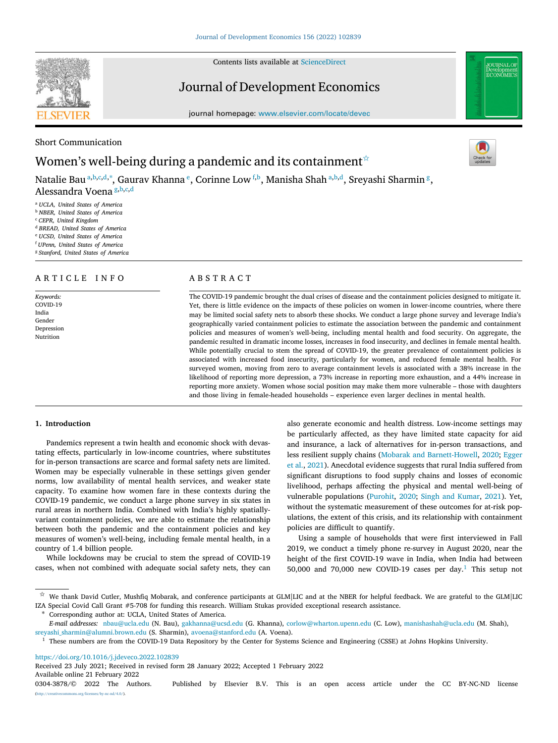Contents lists available at [ScienceDirect](http://www.elsevier.com/locate/devec)

# Journal of Development Economics

journal homepage: [www.elsevier.com/locate/devec](http://www.elsevier.com/locate/devec)

# Short Communication

# Women's well-being during a pandemic and its containment  $\hat{z}$

N[a](#page-0-1)talie Bau ª,[b](#page-0-2),[c](#page-0-3),[d](#page-0-4),\*, Gaurav Khanna <sup>[e](#page-0-6)</sup>, Corinne Low <sup>[f](#page-0-7),b</sup>, Manisha Shah ª,b,d, Sreyashi Sharmin <sup>[g](#page-0-8)</sup>, Alessandra Voena [g](#page-0-8), [b](#page-0-2), [c](#page-0-3), [d](#page-0-4)

<span id="page-0-1"></span><sup>a</sup> *UCLA, United States of America*

<span id="page-0-2"></span><sup>b</sup> *NBER, United States of America*

<span id="page-0-3"></span><sup>c</sup> *CEPR, United Kingdom*

<span id="page-0-4"></span><sup>d</sup> *BREAD, United States of America*

<span id="page-0-6"></span><sup>e</sup> *UCSD, United States of America*

<span id="page-0-7"></span><sup>f</sup> *UPenn, United States of America*

<span id="page-0-8"></span><sup>g</sup> *Stanford, United States of America*

# A R T I C L E I N F O

*Keywords:* COVID-19 India Gender Depression Nutrition

# A B S T R A C T

The COVID-19 pandemic brought the dual crises of disease and the containment policies designed to mitigate it. Yet, there is little evidence on the impacts of these policies on women in lower-income countries, where there may be limited social safety nets to absorb these shocks. We conduct a large phone survey and leverage India's geographically varied containment policies to estimate the association between the pandemic and containment policies and measures of women's well-being, including mental health and food security. On aggregate, the pandemic resulted in dramatic income losses, increases in food insecurity, and declines in female mental health. While potentially crucial to stem the spread of COVID-19, the greater prevalence of containment policies is associated with increased food insecurity, particularly for women, and reduced female mental health. For surveyed women, moving from zero to average containment levels is associated with a 38% increase in the likelihood of reporting more depression, a 73% increase in reporting more exhaustion, and a 44% increase in reporting more anxiety. Women whose social position may make them more vulnerable – those with daughters and those living in female-headed households – experience even larger declines in mental health.

# **1. Introduction**

Pandemics represent a twin health and economic shock with devastating effects, particularly in low-income countries, where substitutes for in-person transactions are scarce and formal safety nets are limited. Women may be especially vulnerable in these settings given gender norms, low availability of mental health services, and weaker state capacity. To examine how women fare in these contexts during the COVID-19 pandemic, we conduct a large phone survey in six states in rural areas in northern India. Combined with India's highly spatiallyvariant containment policies, we are able to estimate the relationship between both the pandemic and the containment policies and key measures of women's well-being, including female mental health, in a country of 1.4 billion people.

While lockdowns may be crucial to stem the spread of COVID-19 cases, when not combined with adequate social safety nets, they can also generate economic and health distress. Low-income settings may be particularly affected, as they have limited state capacity for aid and insurance, a lack of alternatives for in-person transactions, and less resilient supply chains ([Mobarak and Barnett-Howell,](#page-8-0) [2020;](#page-8-0) [Egger](#page-8-1) [et al.,](#page-8-1) [2021](#page-8-1)). Anecdotal evidence suggests that rural India suffered from significant disruptions to food supply chains and losses of economic livelihood, perhaps affecting the physical and mental well-being of vulnerable populations ([Purohit,](#page-8-2) [2020](#page-8-2); [Singh and Kumar](#page-8-3), [2021\)](#page-8-3). Yet, without the systematic measurement of these outcomes for at-risk populations, the extent of this crisis, and its relationship with containment policies are difficult to quantify.

Using a sample of households that were first interviewed in Fall 2019, we conduct a timely phone re-survey in August 2020, near the height of the first COVID-19 wave in India, when India had between 50,000 and 70,000 new COVID-[1](#page-0-9)9 cases per day.<sup>1</sup> This setup not

<span id="page-0-5"></span>Corresponding author at: UCLA, United States of America.

<https://doi.org/10.1016/j.jdeveco.2022.102839>

Available online 21 February 2022 0304-3878/© 2022 The Authors. Published by Elsevier B.V. This is an open access article under the CC BY-NC-ND license Received 23 July 2021; Received in revised form 28 January 2022; Accepted 1 February 2022

[\(http://creativecommons.org/licenses/by-nc-nd/4.0/\)](http://creativecommons.org/licenses/by-nc-nd/4.0/).







<span id="page-0-0"></span> $\overrightarrow{x}$  We thank David Cutler, Mushfiq Mobarak, and conference participants at GLM|LIC and at the NBER for helpful feedback. We are grateful to the GLM|LIC IZA Special Covid Call Grant #5-708 for funding this research. William Stukas provided exceptional research assistance.

*E-mail addresses:* [nbau@ucla.edu](mailto:nbau@ucla.edu) (N. Bau), [gakhanna@ucsd.edu](mailto:gakhanna@ucsd.edu) (G. Khanna), [corlow@wharton.upenn.edu](mailto:corlow@wharton.upenn.edu) (C. Low), [manishashah@ucla.edu](mailto:manishashah@ucla.edu) (M. Shah), [sreyashi\\_sharmin@alumni.brown.edu](mailto:sreyashi_sharmin@alumni.brown.edu) (S. Sharmin), [avoena@stanford.edu](mailto:avoena@stanford.edu) (A. Voena).

<span id="page-0-9"></span><sup>&</sup>lt;sup>1</sup> These numbers are from the COVID-19 Data Repository by the Center for Systems Science and Engineering (CSSE) at Johns Hopkins University.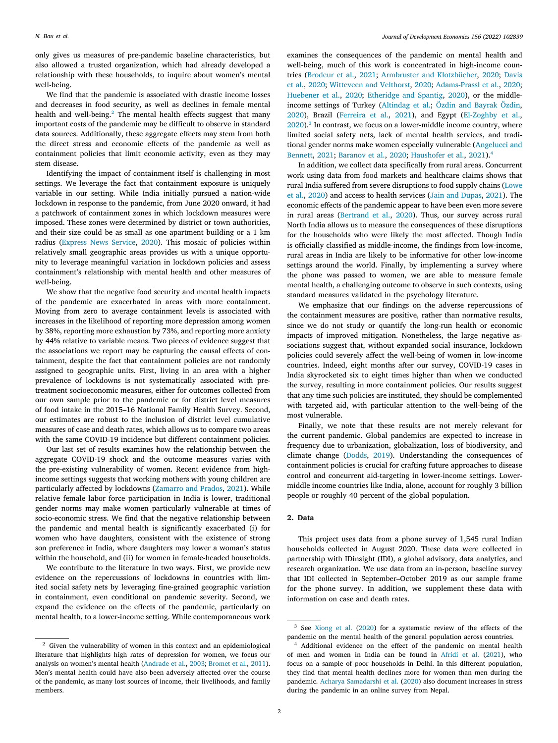only gives us measures of pre-pandemic baseline characteristics, but also allowed a trusted organization, which had already developed a relationship with these households, to inquire about women's mental well-being.

<span id="page-1-0"></span>We find that the pandemic is associated with drastic income losses and decreases in food security, as well as declines in female mental health and well-being.<sup>[2](#page-1-0)</sup> The mental health effects suggest that many important costs of the pandemic may be difficult to observe in standard data sources. Additionally, these aggregate effects may stem from both the direct stress and economic effects of the pandemic as well as containment policies that limit economic activity, even as they may stem disease.

Identifying the impact of containment itself is challenging in most settings. We leverage the fact that containment exposure is uniquely variable in our setting. While India initially pursued a nation-wide lockdown in response to the pandemic, from June 2020 onward, it had a patchwork of containment zones in which lockdown measures were imposed. These zones were determined by district or town authorities, and their size could be as small as one apartment building or a 1 km radius [\(Express News Service,](#page-8-4) [2020\)](#page-8-4). This mosaic of policies within relatively small geographic areas provides us with a unique opportunity to leverage meaningful variation in lockdown policies and assess containment's relationship with mental health and other measures of well-being.

We show that the negative food security and mental health impacts of the pandemic are exacerbated in areas with more containment. Moving from zero to average containment levels is associated with increases in the likelihood of reporting more depression among women by 38%, reporting more exhaustion by 73%, and reporting more anxiety by 44% relative to variable means. Two pieces of evidence suggest that the associations we report may be capturing the causal effects of containment, despite the fact that containment policies are not randomly assigned to geographic units. First, living in an area with a higher prevalence of lockdowns is not systematically associated with pretreatment socioeconomic measures, either for outcomes collected from our own sample prior to the pandemic or for district level measures of food intake in the 2015–16 National Family Health Survey. Second, our estimates are robust to the inclusion of district level cumulative measures of case and death rates, which allows us to compare two areas with the same COVID-19 incidence but different containment policies.

Our last set of results examines how the relationship between the aggregate COVID-19 shock and the outcome measures varies with the pre-existing vulnerability of women. Recent evidence from highincome settings suggests that working mothers with young children are particularly affected by lockdowns ([Zamarro and Prados,](#page-8-5) [2021](#page-8-5)). While relative female labor force participation in India is lower, traditional gender norms may make women particularly vulnerable at times of socio-economic stress. We find that the negative relationship between the pandemic and mental health is significantly exacerbated (i) for women who have daughters, consistent with the existence of strong son preference in India, where daughters may lower a woman's status within the household, and (ii) for women in female-headed households.

We contribute to the literature in two ways. First, we provide new evidence on the repercussions of lockdowns in countries with limited social safety nets by leveraging fine-grained geographic variation in containment, even conditional on pandemic severity. Second, we expand the evidence on the effects of the pandemic, particularly on mental health, to a lower-income setting. While contemporaneous work examines the consequences of the pandemic on mental health and well-being, much of this work is concentrated in high-income countries [\(Brodeur et al.](#page-8-7), [2021;](#page-8-7) [Armbruster and Klotzbücher](#page-7-1), [2020;](#page-7-1) [Davis](#page-8-8) [et al.](#page-8-8), [2020](#page-8-8); [Witteveen and Velthorst,](#page-8-9) [2020;](#page-8-9) [Adams-Prassl et al.,](#page-7-2) [2020](#page-7-2); [Huebener et al.,](#page-8-10) [2020;](#page-8-10) [Etheridge and Spantig,](#page-8-11) [2020](#page-8-11)), or the middleincome settings of Turkey ([Altindag et al.;](#page-7-3) [Özdin and Bayrak Özdin](#page-8-12), [2020\)](#page-8-12), Brazil [\(Ferreira et al.,](#page-8-13) [2021\)](#page-8-13), and Egypt ([El-Zoghby et al.](#page-8-14),  $2020$ ).<sup>[3](#page-1-1)</sup> In contrast, we focus on a lower-middle income country, where limited social safety nets, lack of mental health services, and traditional gender norms make women especially vulnerable ([Angelucci and](#page-7-4) [Bennett,](#page-7-4) [2021;](#page-7-4) [Baranov et al.](#page-7-5), [2020;](#page-7-5) [Haushofer et al.,](#page-8-15) [2021](#page-8-15)).[4](#page-1-2)

<span id="page-1-2"></span><span id="page-1-1"></span>In addition, we collect data specifically from rural areas. Concurrent work using data from food markets and healthcare claims shows that rural India suffered from severe disruptions to food supply chains ([Lowe](#page-8-16) [et al.](#page-8-16), [2020\)](#page-8-16) and access to health services [\(Jain and Dupas,](#page-8-17) [2021\)](#page-8-17). The economic effects of the pandemic appear to have been even more severe in rural areas [\(Bertrand et al.,](#page-8-18) [2020\)](#page-8-18). Thus, our survey across rural North India allows us to measure the consequences of these disruptions for the households who were likely the most affected. Though India is officially classified as middle-income, the findings from low-income, rural areas in India are likely to be informative for other low-income settings around the world. Finally, by implementing a survey where the phone was passed to women, we are able to measure female mental health, a challenging outcome to observe in such contexts, using standard measures validated in the psychology literature.

We emphasize that our findings on the adverse repercussions of the containment measures are positive, rather than normative results, since we do not study or quantify the long-run health or economic impacts of improved mitigation. Nonetheless, the large negative associations suggest that, without expanded social insurance, lockdown policies could severely affect the well-being of women in low-income countries. Indeed, eight months after our survey, COVID-19 cases in India skyrocketed six to eight times higher than when we conducted the survey, resulting in more containment policies. Our results suggest that any time such policies are instituted, they should be complemented with targeted aid, with particular attention to the well-being of the most vulnerable.

Finally, we note that these results are not merely relevant for the current pandemic. Global pandemics are expected to increase in frequency due to urbanization, globalization, loss of biodiversity, and climate change ([Dodds,](#page-8-19) [2019](#page-8-19)). Understanding the consequences of containment policies is crucial for crafting future approaches to disease control and concurrent aid-targeting in lower-income settings. Lowermiddle income countries like India, alone, account for roughly 3 billion people or roughly 40 percent of the global population.

# **2. Data**

This project uses data from a phone survey of 1,545 rural Indian households collected in August 2020. These data were collected in partnership with IDinsight (IDI), a global advisory, data analytics, and research organization. We use data from an in-person, baseline survey that IDI collected in September–October 2019 as our sample frame for the phone survey. In addition, we supplement these data with information on case and death rates.

<sup>2</sup> Given the vulnerability of women in this context and an epidemiological literature that highlights high rates of depression for women, we focus our analysis on women's mental health ([Andrade et al.](#page-7-0), [2003;](#page-7-0) [Bromet et al.,](#page-8-6) [2011\)](#page-8-6). Men's mental health could have also been adversely affected over the course of the pandemic, as many lost sources of income, their livelihoods, and family members.

<sup>3</sup> See [Xiong et al.](#page-8-20) ([2020](#page-8-20)) for a systematic review of the effects of the pandemic on the mental health of the general population across countries.

<sup>4</sup> Additional evidence on the effect of the pandemic on mental health of men and women in India can be found in [Afridi et al.](#page-7-6) ([2021\)](#page-7-6), who focus on a sample of poor households in Delhi. In this different population, they find that mental health declines more for women than men during the pandemic. [Acharya Samadarshi et al.](#page-7-7) ([2020\)](#page-7-7) also document increases in stress during the pandemic in an online survey from Nepal.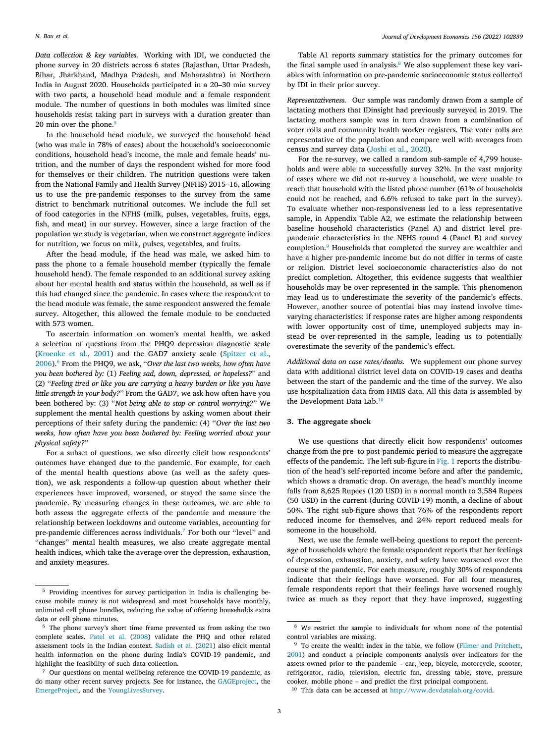*Data collection & key variables.* Working with IDI, we conducted the phone survey in 20 districts across 6 states (Rajasthan, Uttar Pradesh, Bihar, Jharkhand, Madhya Pradesh, and Maharashtra) in Northern India in August 2020. Households participated in a 20–30 min survey with two parts, a household head module and a female respondent module. The number of questions in both modules was limited since households resist taking part in surveys with a duration greater than 20 min over the phone. $5$ 

<span id="page-2-0"></span>In the household head module, we surveyed the household head (who was male in 78% of cases) about the household's socioeconomic conditions, household head's income, the male and female heads' nutrition, and the number of days the respondent wished for more food for themselves or their children. The nutrition questions were taken from the National Family and Health Survey (NFHS) 2015–16, allowing us to use the pre-pandemic responses to the survey from the same district to benchmark nutritional outcomes. We include the full set of food categories in the NFHS (milk, pulses, vegetables, fruits, eggs, fish, and meat) in our survey. However, since a large fraction of the population we study is vegetarian, when we construct aggregate indices for nutrition, we focus on milk, pulses, vegetables, and fruits.

After the head module, if the head was male, we asked him to pass the phone to a female household member (typically the female household head). The female responded to an additional survey asking about her mental health and status within the household, as well as if this had changed since the pandemic. In cases where the respondent to the head module was female, the same respondent answered the female survey. Altogether, this allowed the female module to be conducted with 573 women.

<span id="page-2-1"></span>To ascertain information on women's mental health, we asked a selection of questions from the PHQ9 depression diagnostic scale ([Kroenke et al.,](#page-8-21) [2001\)](#page-8-21) and the GAD7 anxiety scale ([Spitzer et al.](#page-8-22), [2006\)](#page-8-22).[6](#page-2-1) From the PHQ9, we ask, ''*Over the last two weeks, how often have you been bothered by:* (1) *Feeling sad, down, depressed, or hopeless?*'' and (2) ''*Feeling tired or like you are carrying a heavy burden or like you have little strength in your body?*'' From the GAD7, we ask how often have you been bothered by: (3) ''*Not being able to stop or control worrying?*'' We supplement the mental health questions by asking women about their perceptions of their safety during the pandemic: (4) ''*Over the last two weeks, how often have you been bothered by: Feeling worried about your physical safety?*''

For a subset of questions, we also directly elicit how respondents' outcomes have changed due to the pandemic. For example, for each of the mental health questions above (as well as the safety question), we ask respondents a follow-up question about whether their experiences have improved, worsened, or stayed the same since the pandemic. By measuring changes in these outcomes, we are able to both assess the aggregate effects of the pandemic and measure the relationship between lockdowns and outcome variables, accounting for pre-pandemic differences across individuals.[7](#page-2-2) For both our ''level'' and ''changes'' mental health measures, we also create aggregate mental health indices, which take the average over the depression, exhaustion, and anxiety measures.

<span id="page-2-3"></span>Table A1 reports summary statistics for the primary outcomes for the final sample used in analysis. $8$  We also supplement these key variables with information on pre-pandemic socioeconomic status collected by IDI in their prior survey.

*Representativeness.* Our sample was randomly drawn from a sample of lactating mothers that IDinsight had previously surveyed in 2019. The lactating mothers sample was in turn drawn from a combination of voter rolls and community health worker registers. The voter rolls are representative of the population and compare well with averages from census and survey data ([Joshi et al.,](#page-8-25) [2020\)](#page-8-25).

<span id="page-2-4"></span>For the re-survey, we called a random sub-sample of 4,799 households and were able to successfully survey 32%. In the vast majority of cases where we did not re-survey a household, we were unable to reach that household with the listed phone number (61% of households could not be reached, and 6.6% refused to take part in the survey). To evaluate whether non-responsiveness led to a less representative sample, in Appendix Table A2, we estimate the relationship between baseline household characteristics (Panel A) and district level prepandemic characteristics in the NFHS round 4 (Panel B) and survey completion.[9](#page-2-4) Households that completed the survey are wealthier and have a higher pre-pandemic income but do not differ in terms of caste or religion. District level socioeconomic characteristics also do not predict completion. Altogether, this evidence suggests that wealthier households may be over-represented in the sample. This phenomenon may lead us to underestimate the severity of the pandemic's effects. However, another source of potential bias may instead involve timevarying characteristics: if response rates are higher among respondents with lower opportunity cost of time, unemployed subjects may instead be over-represented in the sample, leading us to potentially overestimate the severity of the pandemic's effect.

*Additional data on case rates/deaths.* We supplement our phone survey data with additional district level data on COVID-19 cases and deaths between the start of the pandemic and the time of the survey. We also use hospitalization data from HMIS data. All this data is assembled by the Development Data Lab.<sup>[10](#page-2-5)</sup>

### <span id="page-2-5"></span>**3. The aggregate shock**

We use questions that directly elicit how respondents' outcomes change from the pre- to post-pandemic period to measure the aggregate effects of the pandemic. The left sub-figure in [Fig.](#page-3-0) [1](#page-3-0) reports the distribution of the head's self-reported income before and after the pandemic, which shows a dramatic drop. On average, the head's monthly income falls from 8,625 Rupees (120 USD) in a normal month to 3,584 Rupees (50 USD) in the current (during COVID-19) month, a decline of about 50%. The right sub-figure shows that 76% of the respondents report reduced income for themselves, and 24% report reduced meals for someone in the household.

<span id="page-2-2"></span>Next, we use the female well-being questions to report the percentage of households where the female respondent reports that her feelings of depression, exhaustion, anxiety, and safety have worsened over the course of the pandemic. For each measure, roughly 30% of respondents indicate that their feelings have worsened. For all four measures, female respondents report that their feelings have worsened roughly twice as much as they report that they have improved, suggesting

<sup>5</sup> Providing incentives for survey participation in India is challenging because mobile money is not widespread and most households have monthly, unlimited cell phone bundles, reducing the value of offering households extra data or cell phone minutes.

<sup>6</sup> The phone survey's short time frame prevented us from asking the two complete scales. [Patel et al.](#page-8-23) ([2008\)](#page-8-23) validate the PHQ and other related assessment tools in the Indian context. [Sadish et al.](#page-8-24) [\(2021\)](#page-8-24) also elicit mental health information on the phone during India's COVID-19 pandemic, and highlight the feasibility of such data collection.

<sup>7</sup> Our questions on mental wellbeing reference the COVID-19 pandemic, as do many other recent survey projects. See for instance, the [GAGEproject,](https://www.gage.odi.org/publication/covid-19-phone-survey-round-1/) the [EmergeProject,](https://emerge.ucsd.edu/wp-content/uploads/2020/07/emerge-covid-and-gender-questions-physical-and-mental-health.pdf) and the [YoungLivesSurvey.](https://www.younglives.org.uk/2020-phone-survey)

<sup>8</sup> We restrict the sample to individuals for whom none of the potential control variables are missing.

<sup>&</sup>lt;sup>9</sup> To create the wealth index in the table, we follow ([Filmer and Pritchett,](#page-8-26) [2001\)](#page-8-26) and conduct a principle components analysis over indicators for the assets owned prior to the pandemic – car, jeep, bicycle, motorcycle, scooter, refrigerator, radio, television, electric fan, dressing table, stove, pressure cooker, mobile phone – and predict the first principal component.

<sup>10</sup> This data can be accessed at [http://www.devdatalab.org/covid.](http://www.devdatalab.org/covid)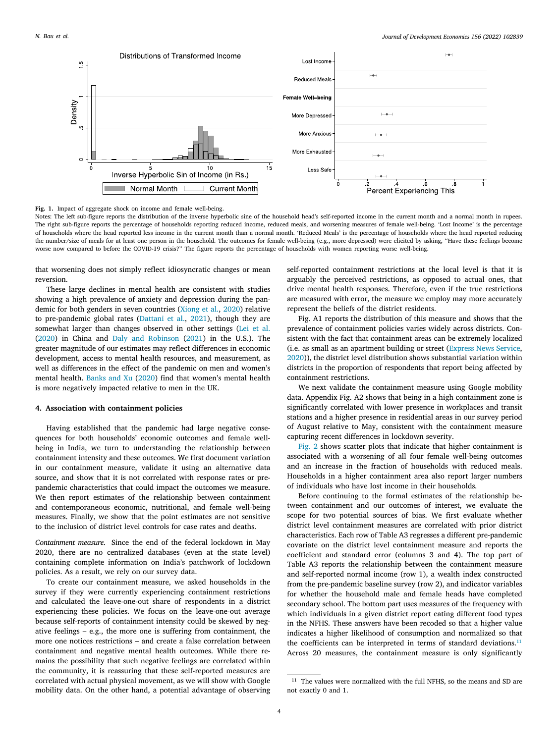

<span id="page-3-0"></span>**Fig. 1.** Impact of aggregate shock on income and female well-being.

Notes: The left sub-figure reports the distribution of the inverse hyperbolic sine of the household head's self-reported income in the current month and a normal month in rupees. The right sub-figure reports the percentage of households reporting reduced income, reduced meals, and worsening measures of female well-being. 'Lost Income' is the percentage of households where the head reported less income in the current month than a normal month. 'Reduced Meals' is the percentage of households where the head reported reducing the number/size of meals for at least one person in the household. The outcomes for female well-being (e.g., more depressed) were elicited by asking, ''Have these feelings become worse now compared to before the COVID-19 crisis?'' The figure reports the percentage of households with women reporting worse well-being.

that worsening does not simply reflect idiosyncratic changes or mean reversion.

These large declines in mental health are consistent with studies showing a high prevalence of anxiety and depression during the pandemic for both genders in seven countries ([Xiong et al.,](#page-8-20) [2020](#page-8-20)) relative to pre-pandemic global rates ([Dattani et al.](#page-8-27), [2021](#page-8-27)), though they are somewhat larger than changes observed in other settings [\(Lei et al.](#page-8-28) ([2020\)](#page-8-28) in China and [Daly and Robinson](#page-8-29) ([2021\)](#page-8-29) in the U.S.). The greater magnitude of our estimates may reflect differences in economic development, access to mental health resources, and measurement, as well as differences in the effect of the pandemic on men and women's mental health. [Banks and Xu](#page-7-8) ([2020](#page-7-8)) find that women's mental health is more negatively impacted relative to men in the UK.

#### **4. Association with containment policies**

Having established that the pandemic had large negative consequences for both households' economic outcomes and female wellbeing in India, we turn to understanding the relationship between containment intensity and these outcomes. We first document variation in our containment measure, validate it using an alternative data source, and show that it is not correlated with response rates or prepandemic characteristics that could impact the outcomes we measure. We then report estimates of the relationship between containment and contemporaneous economic, nutritional, and female well-being measures. Finally, we show that the point estimates are not sensitive to the inclusion of district level controls for case rates and deaths.

*Containment measure.* Since the end of the federal lockdown in May 2020, there are no centralized databases (even at the state level) containing complete information on India's patchwork of lockdown policies. As a result, we rely on our survey data.

To create our containment measure, we asked households in the survey if they were currently experiencing containment restrictions and calculated the leave-one-out share of respondents in a district experiencing these policies. We focus on the leave-one-out average because self-reports of containment intensity could be skewed by negative feelings – e.g., the more one is suffering from containment, the more one notices restrictions – and create a false correlation between containment and negative mental health outcomes. While there remains the possibility that such negative feelings are correlated within the community, it is reassuring that these self-reported measures are correlated with actual physical movement, as we will show with Google mobility data. On the other hand, a potential advantage of observing self-reported containment restrictions at the local level is that it is arguably the perceived restrictions, as opposed to actual ones, that drive mental health responses. Therefore, even if the true restrictions are measured with error, the measure we employ may more accurately represent the beliefs of the district residents.

Fig. A1 reports the distribution of this measure and shows that the prevalence of containment policies varies widely across districts. Consistent with the fact that containment areas can be extremely localized (i.e. as small as an apartment building or street ([Express News Service](#page-8-4), [2020\)](#page-8-4)), the district level distribution shows substantial variation within districts in the proportion of respondents that report being affected by containment restrictions.

We next validate the containment measure using Google mobility data. Appendix Fig. A2 shows that being in a high containment zone is significantly correlated with lower presence in workplaces and transit stations and a higher presence in residential areas in our survey period of August relative to May, consistent with the containment measure capturing recent differences in lockdown severity.

[Fig.](#page-4-0) [2](#page-4-0) shows scatter plots that indicate that higher containment is associated with a worsening of all four female well-being outcomes and an increase in the fraction of households with reduced meals. Households in a higher containment area also report larger numbers of individuals who have lost income in their households.

Before continuing to the formal estimates of the relationship between containment and our outcomes of interest, we evaluate the scope for two potential sources of bias. We first evaluate whether district level containment measures are correlated with prior district characteristics. Each row of Table A3 regresses a different pre-pandemic covariate on the district level containment measure and reports the coefficient and standard error (columns 3 and 4). The top part of Table A3 reports the relationship between the containment measure and self-reported normal income (row 1), a wealth index constructed from the pre-pandemic baseline survey (row 2), and indicator variables for whether the household male and female heads have completed secondary school. The bottom part uses measures of the frequency with which individuals in a given district report eating different food types in the NFHS. These answers have been recoded so that a higher value indicates a higher likelihood of consumption and normalized so that the coefficients can be interpreted in terms of standard deviations. $11$ Across 20 measures, the containment measure is only significantly

<span id="page-3-1"></span><sup>&</sup>lt;sup>11</sup> The values were normalized with the full NFHS, so the means and SD are not exactly 0 and 1.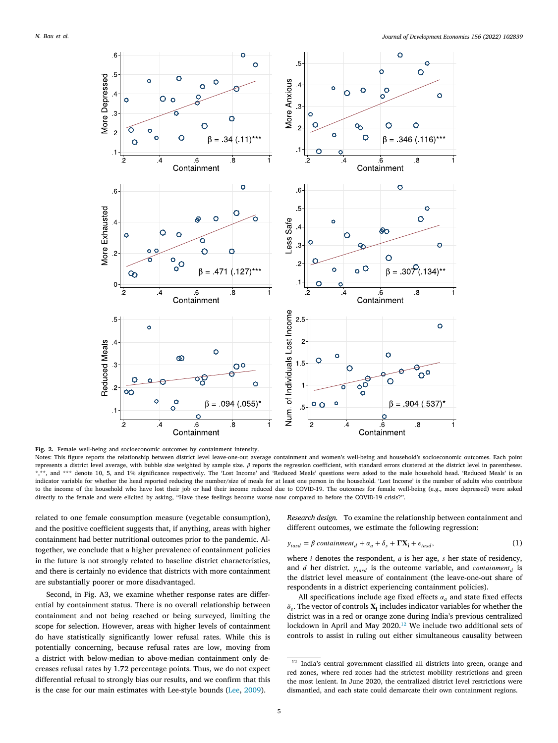

<span id="page-4-0"></span>**Fig. 2.** Female well-being and socioeconomic outcomes by containment intensity. Notes: This figure reports the relationship between district level leave-one-out average containment and women's well-being and household's socioeconomic outcomes. Each point represents a district level average, with bubble size weighted by sample size.  $\beta$  reports the regression coefficient, with standard errors clustered at the district level in parentheses. \*\*, and \*\*\* denote 10, 5, and 1% significance respectively. The 'Lost Income' and 'Reduced Meals' questions were asked to the male household head. 'Reduced Meals' is an indicator variable for whether the head reported reducing the number/size of meals for at least one person in the household. 'Lost Income' is the number of adults who contribute to the income of the household who have lost their job or had their income reduced due to COVID-19. The outcomes for female well-being (e.g., more depressed) were asked directly to the female and were elicited by asking, ''Have these feelings become worse now compared to before the COVID-19 crisis?''.

related to one female consumption measure (vegetable consumption), and the positive coefficient suggests that, if anything, areas with higher containment had better nutritional outcomes prior to the pandemic. Altogether, we conclude that a higher prevalence of containment policies in the future is not strongly related to baseline district characteristics, and there is certainly no evidence that districts with more containment are substantially poorer or more disadvantaged.

Second, in Fig. A3, we examine whether response rates are differential by containment status. There is no overall relationship between containment and not being reached or being surveyed, limiting the scope for selection. However, areas with higher levels of containment do have statistically significantly lower refusal rates. While this is potentially concerning, because refusal rates are low, moving from a district with below-median to above-median containment only decreases refusal rates by 1.72 percentage points. Thus, we do not expect differential refusal to strongly bias our results, and we confirm that this is the case for our main estimates with Lee-style bounds ([Lee,](#page-8-30) [2009\)](#page-8-30).

*Research design.* To examine the relationship between containment and different outcomes, we estimate the following regression:

<span id="page-4-2"></span>
$$
y_{iasd} = \beta \text{ contaminment}_d + \alpha_a + \delta_s + \mathbf{FX_i} + \epsilon_{iasd},\tag{1}
$$

where  $i$  denotes the respondent,  $a$  is her age,  $s$  her state of residency, and *d* her district.  $y_{iasd}$  is the outcome variable, and *containment*<sub>d</sub> is the district level measure of containment (the leave-one-out share of respondents in a district experiencing containment policies).

All specifications include age fixed effects  $\alpha_a$  and state fixed effects  $\delta_s$ . The vector of controls  $\mathbf{X}_i$  includes indicator variables for whether the district was in a red or orange zone during India's previous centralized lockdown in April and May 2020.<sup>[12](#page-4-1)</sup> We include two additional sets of controls to assist in ruling out either simultaneous causality between

<span id="page-4-1"></span><sup>&</sup>lt;sup>12</sup> India's central government classified all districts into green, orange and red zones, where red zones had the strictest mobility restrictions and green the most lenient. In June 2020, the centralized district level restrictions were dismantled, and each state could demarcate their own containment regions.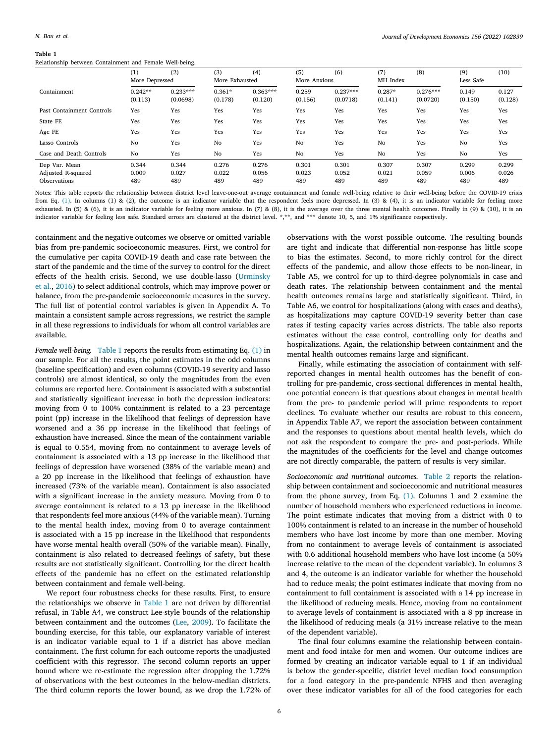#### **Table 1**

<span id="page-5-0"></span>Relationship between Containment and Female Well-being.

| $\mathbf{r}$              |                      | $\tilde{ }$            |                     |                       |                  |                        |                     |                        |                  |                  |
|---------------------------|----------------------|------------------------|---------------------|-----------------------|------------------|------------------------|---------------------|------------------------|------------------|------------------|
|                           | (1)                  | (2)                    | (3)                 | (4)                   | (5)              | (6)                    | (7)                 | (8)                    | (9)              | (10)             |
|                           | More Depressed       |                        | More Exhausted      |                       | More Anxious     |                        | MH Index            |                        | Less Safe        |                  |
| Containment               | $0.242**$<br>(0.113) | $0.233***$<br>(0.0698) | $0.361*$<br>(0.178) | $0.363***$<br>(0.120) | 0.259<br>(0.156) | $0.237***$<br>(0.0718) | $0.287*$<br>(0.141) | $0.276***$<br>(0.0720) | 0.149<br>(0.150) | 0.127<br>(0.128) |
| Past Containment Controls | Yes                  | Yes                    | Yes                 | Yes                   | Yes              | Yes                    | Yes                 | Yes                    | Yes              | Yes              |
| State FE                  | Yes                  | Yes                    | Yes                 | Yes                   | Yes              | Yes                    | Yes                 | Yes                    | Yes              | Yes              |
| Age FE                    | Yes                  | Yes                    | Yes                 | Yes                   | Yes              | Yes                    | Yes                 | Yes                    | Yes              | Yes              |
| Lasso Controls            | No                   | Yes                    | No                  | Yes                   | No               | Yes                    | No                  | Yes                    | No               | Yes              |
| Case and Death Controls   | No                   | Yes                    | No                  | Yes                   | No               | Yes                    | No                  | Yes                    | No               | Yes              |
| Dep Var. Mean             | 0.344                | 0.344                  | 0.276               | 0.276                 | 0.301            | 0.301                  | 0.307               | 0.307                  | 0.299            | 0.299            |
| Adjusted R-squared        | 0.009                | 0.027                  | 0.022               | 0.056                 | 0.023            | 0.052                  | 0.021               | 0.059                  | 0.006            | 0.026            |
| Observations              | 489                  | 489                    | 489                 | 489                   | 489              | 489                    | 489                 | 489                    | 489              | 489              |
|                           |                      |                        |                     |                       |                  |                        |                     |                        |                  |                  |

Notes: This table reports the relationship between district level leave-one-out average containment and female well-being relative to their well-being before the COVID-19 crisis from Eq. ([1](#page-4-2)). In columns (1) & (2), the outcome is an indicator variable that the respondent feels more depressed. In (3) & (4), it is an indicator variable for feeling more exhausted. In (5) & (6), it is an indicator variable for feeling more anxious. In (7) & (8), it is the average over the three mental health outcomes. Finally in (9) & (10), it is an indicator variable for feeling less safe. Standard errors are clustered at the district level. \*,\*\*, and \*\*\* denote 10, 5, and 1% significance respectively.

containment and the negative outcomes we observe or omitted variable bias from pre-pandemic socioeconomic measures. First, we control for the cumulative per capita COVID-19 death and case rate between the start of the pandemic and the time of the survey to control for the direct effects of the health crisis. Second, we use double-lasso ([Urminsky](#page-8-31) [et al.](#page-8-31), [2016](#page-8-31)) to select additional controls, which may improve power or balance, from the pre-pandemic socioeconomic measures in the survey. The full list of potential control variables is given in Appendix A. To maintain a consistent sample across regressions, we restrict the sample in all these regressions to individuals for whom all control variables are available.

*Female well-being.* [Table](#page-5-0) [1](#page-5-0) reports the results from estimating Eq. ([1\)](#page-4-2) in our sample. For all the results, the point estimates in the odd columns (baseline specification) and even columns (COVID-19 severity and lasso controls) are almost identical, so only the magnitudes from the even columns are reported here. Containment is associated with a substantial and statistically significant increase in both the depression indicators: moving from 0 to 100% containment is related to a 23 percentage point (pp) increase in the likelihood that feelings of depression have worsened and a 36 pp increase in the likelihood that feelings of exhaustion have increased. Since the mean of the containment variable is equal to 0.554, moving from no containment to average levels of containment is associated with a 13 pp increase in the likelihood that feelings of depression have worsened (38% of the variable mean) and a 20 pp increase in the likelihood that feelings of exhaustion have increased (73% of the variable mean). Containment is also associated with a significant increase in the anxiety measure. Moving from 0 to average containment is related to a 13 pp increase in the likelihood that respondents feel more anxious (44% of the variable mean). Turning to the mental health index, moving from 0 to average containment is associated with a 15 pp increase in the likelihood that respondents have worse mental health overall (50% of the variable mean). Finally, containment is also related to decreased feelings of safety, but these results are not statistically significant. Controlling for the direct health effects of the pandemic has no effect on the estimated relationship between containment and female well-being.

We report four robustness checks for these results. First, to ensure the relationships we observe in [Table](#page-5-0) [1](#page-5-0) are not driven by differential refusal, in Table A4, we construct Lee-style bounds of the relationship between containment and the outcomes ([Lee,](#page-8-30) [2009\)](#page-8-30). To facilitate the bounding exercise, for this table, our explanatory variable of interest is an indicator variable equal to 1 if a district has above median containment. The first column for each outcome reports the unadjusted coefficient with this regressor. The second column reports an upper bound where we re-estimate the regression after dropping the 1.72% of observations with the best outcomes in the below-median districts. The third column reports the lower bound, as we drop the 1.72% of

observations with the worst possible outcome. The resulting bounds are tight and indicate that differential non-response has little scope to bias the estimates. Second, to more richly control for the direct effects of the pandemic, and allow those effects to be non-linear, in Table A5, we control for up to third-degree polynomials in case and death rates. The relationship between containment and the mental health outcomes remains large and statistically significant. Third, in Table A6, we control for hospitalizations (along with cases and deaths), as hospitalizations may capture COVID-19 severity better than case rates if testing capacity varies across districts. The table also reports estimates without the case control, controlling only for deaths and hospitalizations. Again, the relationship between containment and the mental health outcomes remains large and significant.

Finally, while estimating the association of containment with selfreported changes in mental health outcomes has the benefit of controlling for pre-pandemic, cross-sectional differences in mental health, one potential concern is that questions about changes in mental health from the pre- to pandemic period will prime respondents to report declines. To evaluate whether our results are robust to this concern, in Appendix Table A7, we report the association between containment and the responses to questions about mental health levels, which do not ask the respondent to compare the pre- and post-periods. While the magnitudes of the coefficients for the level and change outcomes are not directly comparable, the pattern of results is very similar.

*Socioeconomic and nutritional outcomes.* [Table](#page-6-0) [2](#page-6-0) reports the relationship between containment and socioeconomic and nutritional measures from the phone survey, from Eq. ([1](#page-4-2)). Columns 1 and 2 examine the number of household members who experienced reductions in income. The point estimate indicates that moving from a district with 0 to 100% containment is related to an increase in the number of household members who have lost income by more than one member. Moving from no containment to average levels of containment is associated with 0.6 additional household members who have lost income (a 50% increase relative to the mean of the dependent variable). In columns 3 and 4, the outcome is an indicator variable for whether the household had to reduce meals; the point estimates indicate that moving from no containment to full containment is associated with a 14 pp increase in the likelihood of reducing meals. Hence, moving from no containment to average levels of containment is associated with a 8 pp increase in the likelihood of reducing meals (a 31% increase relative to the mean of the dependent variable).

The final four columns examine the relationship between containment and food intake for men and women. Our outcome indices are formed by creating an indicator variable equal to 1 if an individual is below the gender-specific, district level median food consumption for a food category in the pre-pandemic NFHS and then averaging over these indicator variables for all of the food categories for each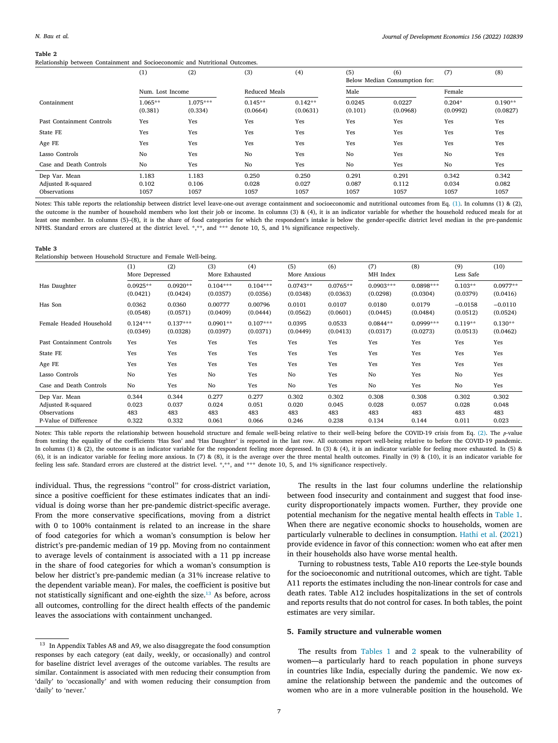### **Table 2**

<span id="page-6-0"></span>Relationship between Containment and Socioeconomic and Nutritional Outcomes.

|                           | (1)                  | (2)                   | (3)                   | (4)                   | (5)               | (6)<br>Below Median Consumption for: | (7)                  | (8)                   |
|---------------------------|----------------------|-----------------------|-----------------------|-----------------------|-------------------|--------------------------------------|----------------------|-----------------------|
|                           | Num. Lost Income     |                       | Reduced Meals         |                       | Male              |                                      | Female               |                       |
| Containment               | $1.065**$<br>(0.381) | $1.075***$<br>(0.334) | $0.145**$<br>(0.0664) | $0.142**$<br>(0.0631) | 0.0245<br>(0.101) | 0.0227<br>(0.0968)                   | $0.204*$<br>(0.0992) | $0.190**$<br>(0.0827) |
| Past Containment Controls | Yes                  | Yes                   | Yes                   | Yes                   | Yes               | Yes                                  | Yes                  | Yes                   |
| State FE                  | Yes                  | Yes                   | Yes                   | Yes                   | Yes               | Yes                                  | Yes                  | Yes                   |
| Age FE                    | Yes                  | Yes                   | Yes                   | Yes                   | Yes               | Yes                                  | Yes                  | Yes                   |
| Lasso Controls            | No                   | Yes                   | No                    | Yes                   | No                | Yes                                  | No                   | Yes                   |
| Case and Death Controls   | No                   | Yes                   | No                    | Yes                   | No                | Yes                                  | No                   | Yes                   |
| Dep Var. Mean             | 1.183                | 1.183                 | 0.250                 | 0.250                 | 0.291             | 0.291                                | 0.342                | 0.342                 |
| Adjusted R-squared        | 0.102                | 0.106                 | 0.028                 | 0.027                 | 0.087             | 0.112                                | 0.034                | 0.082                 |
| Observations              | 1057                 | 1057                  | 1057                  | 1057                  | 1057              | 1057                                 | 1057                 | 1057                  |

Notes: This table reports the relationship between district level leave-one-out average containment and socioeconomic and nutritional outcomes from Eq. ([1\)](#page-4-2). In columns (1) & (2), the outcome is the number of household members who lost their job or income. In columns (3) & (4), it is an indicator variable for whether the household reduced meals for at least one member. In columns (5)–(8), it is the share of food categories for which the respondent's intake is below the gender-specific district level median in the pre-pandemic NFHS. Standard errors are clustered at the district level. \*,\*\*, and \*\*\* denote 10, 5, and 1% significance respectively.

#### **Table 3**

<span id="page-6-2"></span>Relationship between Household Structure and Female Well-being.

|                           | (1)            | (2)        | (3)<br>More Exhausted | (4)        | (5)<br>More Anxious | (6)        | (7)<br>MH Index | (8)         | (9)<br>Less Safe | (10)       |
|---------------------------|----------------|------------|-----------------------|------------|---------------------|------------|-----------------|-------------|------------------|------------|
|                           | More Depressed |            |                       |            |                     |            |                 |             |                  |            |
| Has Daughter              | $0.0925**$     | $0.0920**$ | $0.104***$            | $0.104***$ | $0.0743**$          | $0.0765**$ | $0.0903***$     | $0.0898***$ | $0.103**$        | $0.0977**$ |
|                           | (0.0421)       | (0.0424)   | (0.0357)              | (0.0356)   | (0.0348)            | (0.0363)   | (0.0298)        | (0.0304)    | (0.0379)         | (0.0416)   |
| Has Son                   | 0.0362         | 0.0360     | 0.00777               | 0.00796    | 0.0101              | 0.0107     | 0.0180          | 0.0179      | $-0.0158$        | $-0.0110$  |
|                           | (0.0548)       | (0.0571)   | (0.0409)              | (0.0444)   | (0.0562)            | (0.0601)   | (0.0445)        | (0.0484)    | (0.0512)         | (0.0524)   |
| Female Headed Household   | $0.124***$     | $0.137***$ | $0.0901**$            | $0.107***$ | 0.0395              | 0.0533     | $0.0844**$      | $0.0999***$ | $0.119**$        | $0.130**$  |
|                           | (0.0349)       | (0.0328)   | (0.0397)              | (0.0371)   | (0.0449)            | (0.0413)   | (0.0317)        | (0.0273)    | (0.0513)         | (0.0462)   |
| Past Containment Controls | Yes            | Yes        | Yes                   | Yes        | Yes                 | Yes        | Yes             | Yes         | Yes              | Yes        |
| State FE                  | Yes            | Yes        | Yes                   | Yes        | Yes                 | Yes        | Yes             | Yes         | Yes              | Yes        |
| Age FE                    | Yes            | Yes        | Yes                   | Yes        | Yes                 | Yes        | Yes             | Yes         | Yes              | Yes        |
| Lasso Controls            | No             | Yes        | No                    | Yes        | No                  | Yes        | No              | Yes         | No               | Yes        |
| Case and Death Controls   | No             | Yes        | No                    | Yes        | No                  | Yes        | No              | Yes         | No               | Yes        |
| Dep Var. Mean             | 0.344          | 0.344      | 0.277                 | 0.277      | 0.302               | 0.302      | 0.308           | 0.308       | 0.302            | 0.302      |
| Adjusted R-squared        | 0.023          | 0.037      | 0.024                 | 0.051      | 0.020               | 0.045      | 0.028           | 0.057       | 0.028            | 0.048      |
| Observations              | 483            | 483        | 483                   | 483        | 483                 | 483        | 483             | 483         | 483              | 483        |
| P-Value of Difference     | 0.322          | 0.332      | 0.061                 | 0.066      | 0.246               | 0.238      | 0.134           | 0.144       | 0.011            | 0.023      |

Notes: This table reports the relationship between household structure and female well-being relative to their well-being before the COVID-19 crisis from Eq. ([2\)](#page-7-9). The p-value from testing the equality of the coefficients 'Has Son' and 'Has Daughter' is reported in the last row. All outcomes report well-being relative to before the COVID-19 pandemic. In columns (1) & (2), the outcome is an indicator variable for the respondent feeling more depressed. In (3) & (4), it is an indicator variable for feeling more exhausted. In (5) & (6), it is an indicator variable for feeling more anxious. In (7) & (8), it is the average over the three mental health outcomes. Finally in (9) & (10), it is an indicator variable for feeling less safe. Standard errors are clustered at the district level. \*,\*\*, and \*\*\* denote 10, 5, and 1% significance respectively.

individual. Thus, the regressions ''control'' for cross-district variation, since a positive coefficient for these estimates indicates that an individual is doing worse than her pre-pandemic district-specific average. From the more conservative specifications, moving from a district with 0 to 100% containment is related to an increase in the share of food categories for which a woman's consumption is below her district's pre-pandemic median of 19 pp. Moving from no containment to average levels of containment is associated with a 11 pp increase in the share of food categories for which a woman's consumption is below her district's pre-pandemic median (a 31% increase relative to the dependent variable mean). For males, the coefficient is positive but not statistically significant and one-eighth the size.[13](#page-6-1) As before, across all outcomes, controlling for the direct health effects of the pandemic leaves the associations with containment unchanged.

The results in the last four columns underline the relationship between food insecurity and containment and suggest that food insecurity disproportionately impacts women. Further, they provide one potential mechanism for the negative mental health effects in [Table](#page-5-0) [1](#page-5-0). When there are negative economic shocks to households, women are particularly vulnerable to declines in consumption. [Hathi et al.](#page-8-32) ([2021\)](#page-8-32) provide evidence in favor of this connection: women who eat after men in their households also have worse mental health.

Turning to robustness tests, Table A10 reports the Lee-style bounds for the socioeconomic and nutritional outcomes, which are tight. Table A11 reports the estimates including the non-linear controls for case and death rates. Table A12 includes hospitalizations in the set of controls and reports results that do not control for cases. In both tables, the point estimates are very similar.

# <span id="page-6-1"></span>**5. Family structure and vulnerable women**

The results from [Tables](#page-5-0) [1](#page-5-0) and [2](#page-6-0) speak to the vulnerability of women—a particularly hard to reach population in phone surveys in countries like India, especially during the pandemic. We now examine the relationship between the pandemic and the outcomes of women who are in a more vulnerable position in the household. We

 $^{\rm 13}$  In Appendix Tables A8 and A9, we also disaggregate the food consumption responses by each category (eat daily, weekly, or occasionally) and control for baseline district level averages of the outcome variables. The results are similar. Containment is associated with men reducing their consumption from 'daily' to 'occasionally' and with women reducing their consumption from 'daily' to 'never.'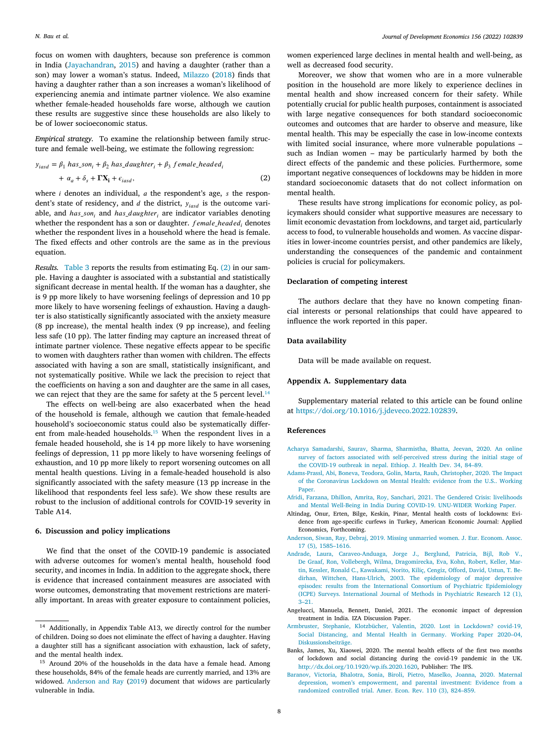focus on women with daughters, because son preference is common in India [\(Jayachandran,](#page-8-33) [2015](#page-8-33)) and having a daughter (rather than a son) may lower a woman's status. Indeed, [Milazzo](#page-8-34) ([2018\)](#page-8-34) finds that having a daughter rather than a son increases a woman's likelihood of experiencing anemia and intimate partner violence. We also examine whether female-headed households fare worse, although we caution these results are suggestive since these households are also likely to be of lower socioeconomic status.

*Empirical strategy.* To examine the relationship between family structure and female well-being, we estimate the following regression:

$$
y_{iasd} = \beta_1 \ has\_son_i + \beta_2 \ has\_daughter_i + \beta_3 \ female\_headed_i
$$
  
+  $\alpha_a + \delta_s + \mathbf{FX}_i + \epsilon_{iasd}$ , (2)

where  $i$  denotes an individual,  $a$  the respondent's age,  $s$  the respondent's state of residency, and  $d$  the district,  $y_{iasd}$  is the outcome variable, and *has son*, and *has daughter*, are indicator variables denoting whether the respondent has a son or daughter. *female headed*, denotes whether the respondent lives in a household where the head is female. The fixed effects and other controls are the same as in the previous equation.

*Results.* [Table](#page-6-2) [3](#page-6-2) reports the results from estimating Eq. ([2](#page-7-9)) in our sample. Having a daughter is associated with a substantial and statistically significant decrease in mental health. If the woman has a daughter, she is 9 pp more likely to have worsening feelings of depression and 10 pp more likely to have worsening feelings of exhaustion. Having a daughter is also statistically significantly associated with the anxiety measure (8 pp increase), the mental health index (9 pp increase), and feeling less safe (10 pp). The latter finding may capture an increased threat of intimate partner violence. These negative effects appear to be specific to women with daughters rather than women with children. The effects associated with having a son are small, statistically insignificant, and not systematically positive. While we lack the precision to reject that the coefficients on having a son and daughter are the same in all cases, we can reject that they are the same for safety at the 5 percent level.<sup>[14](#page-7-10)</sup>

<span id="page-7-11"></span>The effects on well-being are also exacerbated when the head of the household is female, although we caution that female-headed household's socioeconomic status could also be systematically different from male-headed households.[15](#page-7-11) When the respondent lives in a female headed household, she is 14 pp more likely to have worsening feelings of depression, 11 pp more likely to have worsening feelings of exhaustion, and 10 pp more likely to report worsening outcomes on all mental health questions. Living in a female-headed household is also significantly associated with the safety measure (13 pp increase in the likelihood that respondents feel less safe). We show these results are robust to the inclusion of additional controls for COVID-19 severity in Table A14.

## **6. Discussion and policy implications**

We find that the onset of the COVID-19 pandemic is associated with adverse outcomes for women's mental health, household food security, and incomes in India. In addition to the aggregate shock, there is evidence that increased containment measures are associated with worse outcomes, demonstrating that movement restrictions are materially important. In areas with greater exposure to containment policies,

women experienced large declines in mental health and well-being, as well as decreased food security.

Moreover, we show that women who are in a more vulnerable position in the household are more likely to experience declines in mental health and show increased concern for their safety. While potentially crucial for public health purposes, containment is associated with large negative consequences for both standard socioeconomic outcomes and outcomes that are harder to observe and measure, like mental health. This may be especially the case in low-income contexts with limited social insurance, where more vulnerable populations – such as Indian women – may be particularly harmed by both the direct effects of the pandemic and these policies. Furthermore, some important negative consequences of lockdowns may be hidden in more standard socioeconomic datasets that do not collect information on mental health.

<span id="page-7-9"></span>These results have strong implications for economic policy, as policymakers should consider what supportive measures are necessary to limit economic devastation from lockdowns, and target aid, particularly access to food, to vulnerable households and women. As vaccine disparities in lower-income countries persist, and other pandemics are likely, understanding the consequences of the pandemic and containment policies is crucial for policymakers.

#### **Declaration of competing interest**

The authors declare that they have no known competing financial interests or personal relationships that could have appeared to influence the work reported in this paper.

# **Data availability**

Data will be made available on request.

# **Appendix A. Supplementary data**

<span id="page-7-10"></span>Supplementary material related to this article can be found online at [https://doi.org/10.1016/j.jdeveco.2022.102839.](https://doi.org/10.1016/j.jdeveco.2022.102839)

# **References**

- <span id="page-7-7"></span>[Acharya Samadarshi, Saurav, Sharma, Sharmistha, Bhatta, Jeevan, 2020. An online](http://refhub.elsevier.com/S0304-3878(22)00019-0/sb1) [survey of factors associated with self-perceived stress during the initial stage of](http://refhub.elsevier.com/S0304-3878(22)00019-0/sb1) [the COVID-19 outbreak in nepal. Ethiop. J. Health Dev. 34, 84–89.](http://refhub.elsevier.com/S0304-3878(22)00019-0/sb1)
- <span id="page-7-2"></span>[Adams-Prassl, Abi, Boneva, Teodora, Golin, Marta, Rauh, Christopher, 2020. The Impact](http://refhub.elsevier.com/S0304-3878(22)00019-0/sb2) [of the Coronavirus Lockdown on Mental Health: evidence from the U.S.. Working](http://refhub.elsevier.com/S0304-3878(22)00019-0/sb2) [Paper.](http://refhub.elsevier.com/S0304-3878(22)00019-0/sb2)
- <span id="page-7-6"></span>[Afridi, Farzana, Dhillon, Amrita, Roy, Sanchari, 2021. The Gendered Crisis: livelihoods](http://refhub.elsevier.com/S0304-3878(22)00019-0/sb3) [and Mental Well-Being in India During COVID-19. UNU-WIDER Working Paper.](http://refhub.elsevier.com/S0304-3878(22)00019-0/sb3)
- <span id="page-7-3"></span>Altindag, Onur, Erten, Bilge, Keskin, Pinar, Mental health costs of lockdowns: Evidence from age-specific curfews in Turkey, American Economic Journal: Applied Economics, Forthcoming.
- <span id="page-7-12"></span>[Anderson, Siwan, Ray, Debraj, 2019. Missing unmarried women. J. Eur. Econom. Assoc.](http://refhub.elsevier.com/S0304-3878(22)00019-0/sb5) [17 \(5\), 1585–1616.](http://refhub.elsevier.com/S0304-3878(22)00019-0/sb5)
- <span id="page-7-0"></span>[Andrade, Laura, Caraveo-Anduaga, Jorge J., Berglund, Patricia, Bijl, Rob V.,](http://refhub.elsevier.com/S0304-3878(22)00019-0/sb6) [De Graaf, Ron, Vollebergh, Wilma, Dragomirecka, Eva, Kohn, Robert, Keller, Mar](http://refhub.elsevier.com/S0304-3878(22)00019-0/sb6)[tin, Kessler, Ronald C., Kawakami, Norito, Kiliç, Cengiz, Offord, David, Ustun, T. Be](http://refhub.elsevier.com/S0304-3878(22)00019-0/sb6)[dirhan, Wittchen, Hans-Ulrich, 2003. The epidemiology of major depressive](http://refhub.elsevier.com/S0304-3878(22)00019-0/sb6) [episodes: results from the International Consortium of Psychiatric Epidemiology](http://refhub.elsevier.com/S0304-3878(22)00019-0/sb6) [\(ICPE\) Surveys. International Journal of Methods in Psychiatric Research 12 \(1\),](http://refhub.elsevier.com/S0304-3878(22)00019-0/sb6) [3–21.](http://refhub.elsevier.com/S0304-3878(22)00019-0/sb6)
- <span id="page-7-4"></span>Angelucci, Manuela, Bennett, Daniel, 2021. The economic impact of depression treatment in India. IZA Discussion Paper.
- <span id="page-7-1"></span>[Armbruster, Stephanie, Klotzbücher, Valentin, 2020. Lost in Lockdown? covid-19,](http://refhub.elsevier.com/S0304-3878(22)00019-0/sb8) [Social Distancing, and Mental Health in Germany. Working Paper 2020–04,](http://refhub.elsevier.com/S0304-3878(22)00019-0/sb8) [Diskussionsbeiträge.](http://refhub.elsevier.com/S0304-3878(22)00019-0/sb8)
- <span id="page-7-8"></span>Banks, James, Xu, Xiaowei, 2020. The mental health effects of the first two months of lockdown and social distancing during the covid-19 pandemic in the UK. [http://dx.doi.org/10.1920/wp.ifs.2020.1620,](http://dx.doi.org/10.1920/wp.ifs.2020.1620) Publisher: The IFS.
- <span id="page-7-5"></span>[Baranov, Victoria, Bhalotra, Sonia, Biroli, Pietro, Maselko, Joanna, 2020. Maternal](http://refhub.elsevier.com/S0304-3878(22)00019-0/sb10) [depression, women's empowerment, and parental investment: Evidence from a](http://refhub.elsevier.com/S0304-3878(22)00019-0/sb10) [randomized controlled trial. Amer. Econ. Rev. 110 \(3\), 824–859.](http://refhub.elsevier.com/S0304-3878(22)00019-0/sb10)

<sup>14</sup> Additionally, in Appendix Table A13, we directly control for the number of children. Doing so does not eliminate the effect of having a daughter. Having a daughter still has a significant association with exhaustion, lack of safety, and the mental health index.

<sup>&</sup>lt;sup>15</sup> Around 20% of the households in the data have a female head. Among these households, 84% of the female heads are currently married, and 13% are widowed. [Anderson and Ray](#page-7-12) [\(2019](#page-7-12)) document that widows are particularly vulnerable in India.